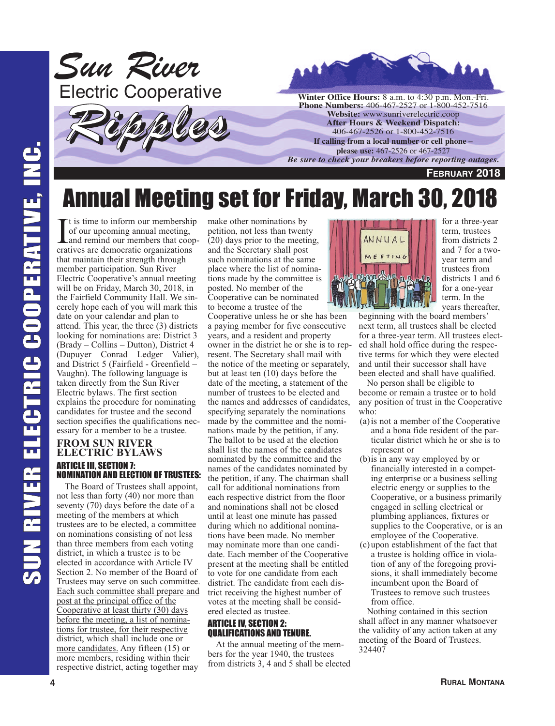



# Annual Meeting set for Friday, March 30, 2018

 $\prod$  t is time to inform our membership of our upcoming annual meeting, and remind our members that coordinations t is time to inform our membership of our upcoming annual meeting, and remind our members that coopthat maintain their strength through member participation. Sun River Electric Cooperative's annual meeting will be on Friday, March 30, 2018, in the Fairfield Community Hall. We sincerely hope each of you will mark this date on your calendar and plan to attend. This year, the three (3) districts looking for nominations are: District 3 (Brady – Collins – Dutton), District 4 (Dupuyer – Conrad – Ledger – Valier), and District 5 (Fairfield - Greenfield – Vaughn). The following language is taken directly from the Sun River Electric bylaws. The first section explains the procedure for nominating candidates for trustee and the second section specifies the qualifications necessary for a member to be a trustee.

### **FROM SUN RIVER ELECTRIC BYLAWS** ARTICLE III, SECTION 7: NOMINATION AND ELECTION OF TRUSTEES:

The Board of Trustees shall appoint, not less than forty (40) nor more than seventy (70) days before the date of a meeting of the members at which trustees are to be elected, a committee on nominations consisting of not less than three members from each voting district, in which a trustee is to be elected in accordance with Article IV Section 2. No member of the Board of Trustees may serve on such committee. Each such committee shall prepare and post at the principal office of the Cooperative at least thirty (30) days before the meeting, a list of nominations for trustee, for their respective district, which shall include one or more candidates. Any fifteen (15) or more members, residing within their respective district, acting together may

make other nominations by petition, not less than twenty (20) days prior to the meeting, and the Secretary shall post such nominations at the same place where the list of nominations made by the committee is posted. No member of the Cooperative can be nominated to become a trustee of the

Cooperative unless he or she has been a paying member for five consecutive years, and a resident and property owner in the district he or she is to represent. The Secretary shall mail with the notice of the meeting or separately, but at least ten (10) days before the date of the meeting, a statement of the number of trustees to be elected and the names and addresses of candidates, specifying separately the nominations made by the committee and the nominations made by the petition, if any. The ballot to be used at the election shall list the names of the candidates nominated by the committee and the names of the candidates nominated by the petition, if any. The chairman shall call for additional nominations from each respective district from the floor and nominations shall not be closed until at least one minute has passed during which no additional nominations have been made. No member may nominate more than one candidate. Each member of the Cooperative present at the meeting shall be entitled to vote for one candidate from each district. The candidate from each district receiving the highest number of votes at the meeting shall be considered elected as trustee.

### ARTICLE IV, SECTION 2: QUALIFICATIONS AND TENURE.

At the annual meeting of the members for the year 1940, the trustees from districts 3, 4 and 5 shall be elected



for a three-year term, trustees from districts 2 and 7 for a twoyear term and trustees from districts 1 and 6 for a one-year term. In the years thereafter,

beginning with the board members' next term, all trustees shall be elected for a three-year term. All trustees elected shall hold office during the respective terms for which they were elected and until their successor shall have been elected and shall have qualified.

No person shall be eligible to become or remain a trustee or to hold any position of trust in the Cooperative who:

- (a)is not a member of the Cooperative and a bona fide resident of the particular district which he or she is to represent or
- (b)is in any way employed by or financially interested in a competing enterprise or a business selling electric energy or supplies to the Cooperative, or a business primarily engaged in selling electrical or plumbing appliances, fixtures or supplies to the Cooperative, or is an employee of the Cooperative.
- (c)upon establishment of the fact that a trustee is holding office in violation of any of the foregoing provisions, it shall immediately become incumbent upon the Board of Trustees to remove such trustees from office.

Nothing contained in this section shall affect in any manner whatsoever the validity of any action taken at any meeting of the Board of Trustees. 324407